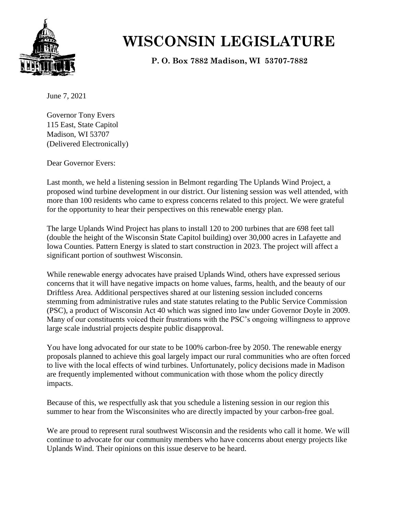

## **WISCONSIN LEGISLATURE**

**P. O. Box 7882 Madison, WI 53707-7882**

June 7, 2021

Governor Tony Evers 115 East, State Capitol Madison, WI 53707 (Delivered Electronically)

Dear Governor Evers:

Last month, we held a listening session in Belmont regarding The Uplands Wind Project, a proposed wind turbine development in our district. Our listening session was well attended, with more than 100 residents who came to express concerns related to this project. We were grateful for the opportunity to hear their perspectives on this renewable energy plan.

The large Uplands Wind Project has plans to install 120 to 200 turbines that are 698 feet tall (double the height of the Wisconsin State Capitol building) over 30,000 acres in Lafayette and Iowa Counties. Pattern Energy is slated to start construction in 2023. The project will affect a significant portion of southwest Wisconsin.

While renewable energy advocates have praised Uplands Wind, others have expressed serious concerns that it will have negative impacts on home values, farms, health, and the beauty of our Driftless Area. Additional perspectives shared at our listening session included concerns stemming from administrative rules and state statutes relating to the Public Service Commission (PSC), a product of Wisconsin Act 40 which was signed into law under Governor Doyle in 2009. Many of our constituents voiced their frustrations with the PSC's ongoing willingness to approve large scale industrial projects despite public disapproval.

You have long advocated for our state to be 100% carbon-free by 2050. The renewable energy proposals planned to achieve this goal largely impact our rural communities who are often forced to live with the local effects of wind turbines. Unfortunately, policy decisions made in Madison are frequently implemented without communication with those whom the policy directly impacts.

Because of this, we respectfully ask that you schedule a listening session in our region this summer to hear from the Wisconsinites who are directly impacted by your carbon-free goal.

We are proud to represent rural southwest Wisconsin and the residents who call it home. We will continue to advocate for our community members who have concerns about energy projects like Uplands Wind. Their opinions on this issue deserve to be heard.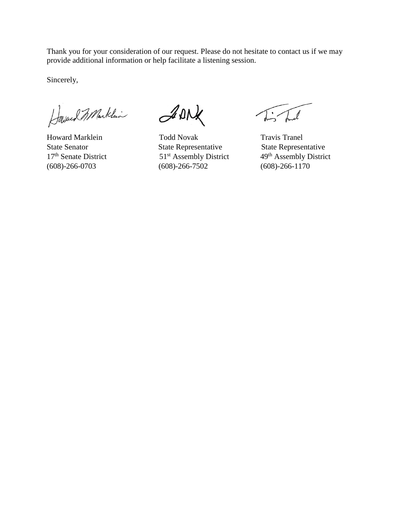Thank you for your consideration of our request. Please do not hesitate to contact us if we may provide additional information or help facilitate a listening session.

Sincerely,

Howard Marklin

ADNX

Howard Marklein Todd Novak Travis Travis Tranel State Senator State Representative State Representative State Representative 17<sup>th</sup> Senate District 19<sup>th</sup> Assembly District (608)-266-0703 (608)-266-7502 (608)-266-1170

51<sup>st</sup> Assembly District 49<sup>th</sup> Assembly District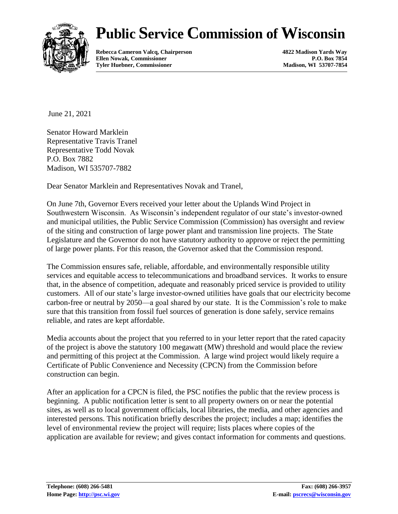## **Public Service Commission of Wisconsin**



**Rebecca Cameron Valcq, Chairperson 4822 Madison Yards Way Ellen Nowak, Commissioner Tyler Huebner, Commissioner Madison, WI 53707-7854**

June 21, 2021

Senator Howard Marklein Representative Travis Tranel Representative Todd Novak P.O. Box 7882 Madison, WI 535707-7882

Dear Senator Marklein and Representatives Novak and Tranel,

On June 7th, Governor Evers received your letter about the Uplands Wind Project in Southwestern Wisconsin. As Wisconsin's independent regulator of our state's investor-owned and municipal utilities, the Public Service Commission (Commission) has oversight and review of the siting and construction of large power plant and transmission line projects. The State Legislature and the Governor do not have statutory authority to approve or reject the permitting of large power plants. For this reason, the Governor asked that the Commission respond.

The Commission ensures safe, reliable, affordable, and environmentally responsible utility services and equitable access to telecommunications and broadband services. It works to ensure that, in the absence of competition, adequate and reasonably priced service is provided to utility customers. All of our state's large investor-owned utilities have goals that our electricity become carbon-free or neutral by 2050—a goal shared by our state. It is the Commission's role to make sure that this transition from fossil fuel sources of generation is done safely, service remains reliable, and rates are kept affordable.

Media accounts about the project that you referred to in your letter report that the rated capacity of the project is above the statutory 100 megawatt (MW) threshold and would place the review and permitting of this project at the Commission. A large wind project would likely require a Certificate of Public Convenience and Necessity (CPCN) from the Commission before construction can begin.

After an application for a CPCN is filed, the PSC notifies the public that the review process is beginning. A public notification letter is sent to all property owners on or near the potential sites, as well as to local government officials, local libraries, the media, and other agencies and interested persons. This notification briefly describes the project; includes a map; identifies the level of environmental review the project will require; lists places where copies of the application are available for review; and gives contact information for comments and questions.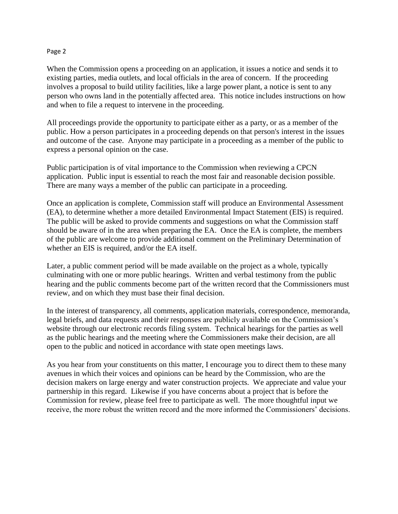## Page 2

When the Commission opens a proceeding on an application, it issues a notice and sends it to existing parties, media outlets, and local officials in the area of concern. If the proceeding involves a proposal to build utility facilities, like a large power plant, a notice is sent to any person who owns land in the potentially affected area. This notice includes instructions on how and when to file a request to intervene in the proceeding.

All proceedings provide the opportunity to participate either as a party, or as a member of the public. How a person participates in a proceeding depends on that person's interest in the issues and outcome of the case. Anyone may participate in a proceeding as a member of the public to express a personal opinion on the case.

Public participation is of vital importance to the Commission when reviewing a CPCN application. Public input is essential to reach the most fair and reasonable decision possible. There are many ways a member of the public can participate in a proceeding.

Once an application is complete, Commission staff will produce an Environmental Assessment (EA), to determine whether a more detailed Environmental Impact Statement (EIS) is required. The public will be asked to provide comments and suggestions on what the Commission staff should be aware of in the area when preparing the EA. Once the EA is complete, the members of the public are welcome to provide additional comment on the Preliminary Determination of whether an EIS is required, and/or the EA itself.

Later, a public comment period will be made available on the project as a whole, typically culminating with one or more public hearings. Written and verbal testimony from the public hearing and the public comments become part of the written record that the Commissioners must review, and on which they must base their final decision.

In the interest of transparency, all comments, application materials, correspondence, memoranda, legal briefs, and data requests and their responses are publicly available on the Commission's website through our electronic records filing system. Technical hearings for the parties as well as the public hearings and the meeting where the Commissioners make their decision, are all open to the public and noticed in accordance with state open meetings laws.

As you hear from your constituents on this matter, I encourage you to direct them to these many avenues in which their voices and opinions can be heard by the Commission, who are the decision makers on large energy and water construction projects. We appreciate and value your partnership in this regard. Likewise if you have concerns about a project that is before the Commission for review, please feel free to participate as well. The more thoughtful input we receive, the more robust the written record and the more informed the Commissioners' decisions.